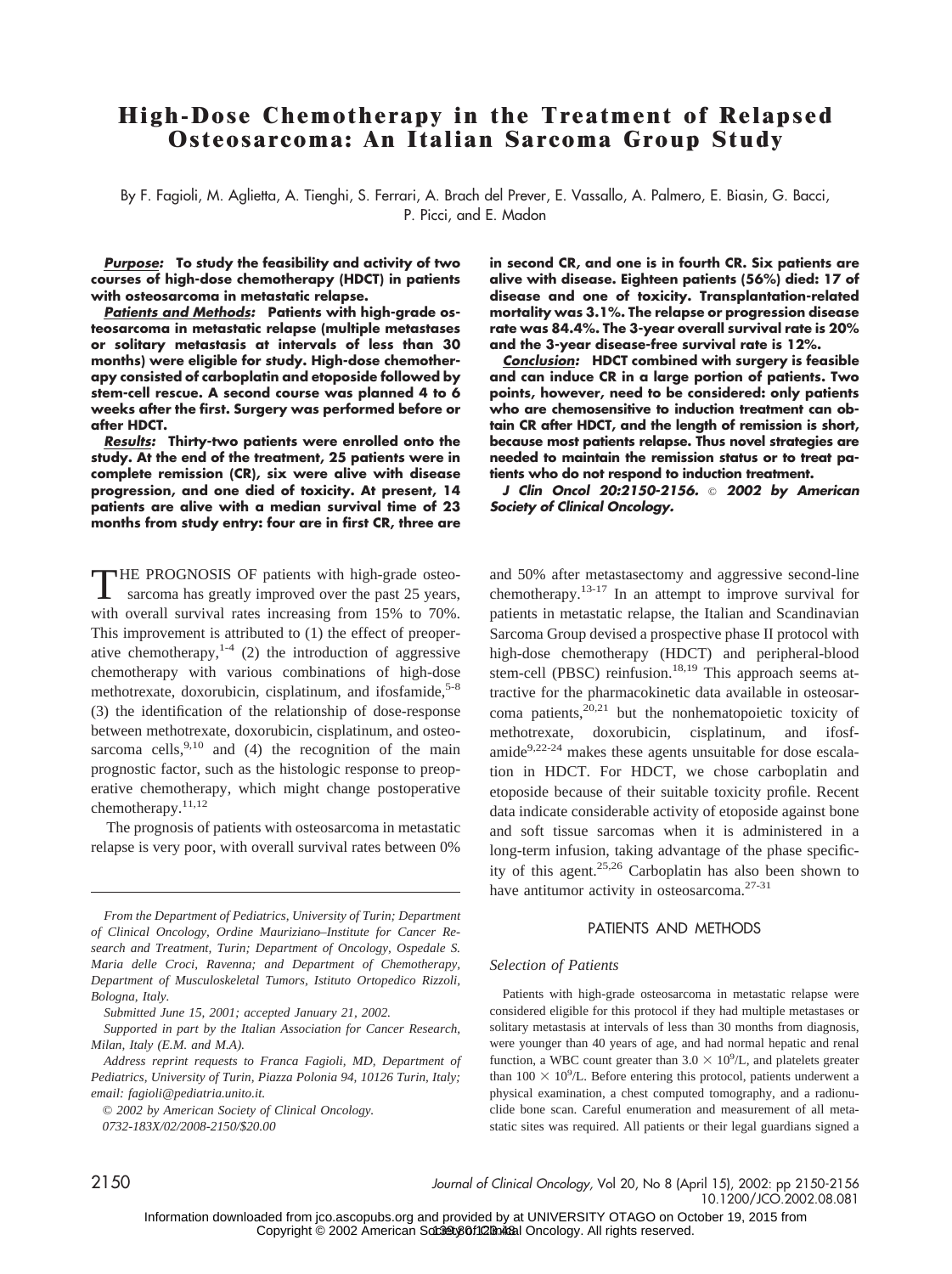# **High-Dose Chemotherapy in the Treatment of Relapsed Osteosarcoma: An Italian Sarcoma Group Study**

By F. Fagioli, M. Aglietta, A. Tienghi, S. Ferrari, A. Brach del Prever, E. Vassallo, A. Palmero, E. Biasin, G. Bacci, P. Picci, and E. Madon

*Purpose:* **To study the feasibility and activity of two courses of high-dose chemotherapy (HDCT) in patients with osteosarcoma in metastatic relapse.**

*Patients and Methods:* **Patients with high-grade osteosarcoma in metastatic relapse (multiple metastases or solitary metastasis at intervals of less than 30 months) were eligible for study. High-dose chemotherapy consisted of carboplatin and etoposide followed by stem-cell rescue. A second course was planned 4 to 6 weeks after the first. Surgery was performed before or after HDCT.**

*Results:* **Thirty-two patients were enrolled onto the study. At the end of the treatment, 25 patients were in complete remission (CR), six were alive with disease progression, and one died of toxicity. At present, 14 patients are alive with a median survival time of 23 months from study entry: four are in first CR, three are**

THE PROGNOSIS OF patients with high-grade osteosarcoma has greatly improved over the past 25 years, with overall survival rates increasing from 15% to 70%. This improvement is attributed to (1) the effect of preoperative chemotherapy, $1-4$  (2) the introduction of aggressive chemotherapy with various combinations of high-dose methotrexate, doxorubicin, cisplatinum, and ifosfamide, $5-8$ (3) the identification of the relationship of dose-response between methotrexate, doxorubicin, cisplatinum, and osteosarcoma cells,  $9,10$  and (4) the recognition of the main prognostic factor, such as the histologic response to preoperative chemotherapy, which might change postoperative chemotherapy.<sup>11,12</sup>

The prognosis of patients with osteosarcoma in metastatic relapse is very poor, with overall survival rates between 0%

*From the Department of Pediatrics, University of Turin; Department of Clinical Oncology, Ordine Mauriziano–Institute for Cancer Research and Treatment, Turin; Department of Oncology, Ospedale S. Maria delle Croci, Ravenna; and Department of Chemotherapy, Department of Musculoskeletal Tumors, Istituto Ortopedico Rizzoli, Bologna, Italy.*

*Supported in part by the Italian Association for Cancer Research, Milan, Italy (E.M. and M.A).*

*© 2002 by American Society of Clinical Oncology. 0732-183X/02/2008-2150/\$20.00*

**in second CR, and one is in fourth CR. Six patients are alive with disease. Eighteen patients (56%) died: 17 of disease and one of toxicity. Transplantation-related mortality was 3.1%. The relapse or progression disease rate was 84.4%. The 3-year overall survival rate is 20% and the 3-year disease-free survival rate is 12%.**

*Conclusion:* **HDCT combined with surgery is feasible and can induce CR in a large portion of patients. Two points, however, need to be considered: only patients** who are chemosensitive to induction treatment can ob**tain CR after HDCT, and the length of remission is short, because most patients relapse. Thus novel strategies are needed to maintain the remission status or to treat patients who do not respond to induction treatment.**

*J Clin Oncol 20:2150-2156.* © *2002 by American Society of Clinical Oncology.*

and 50% after metastasectomy and aggressive second-line chemotherapy.<sup>13-17</sup> In an attempt to improve survival for patients in metastatic relapse, the Italian and Scandinavian Sarcoma Group devised a prospective phase II protocol with high-dose chemotherapy (HDCT) and peripheral-blood stem-cell (PBSC) reinfusion.<sup>18,19</sup> This approach seems attractive for the pharmacokinetic data available in osteosarcoma patients, $20,21$  but the nonhematopoietic toxicity of methotrexate, doxorubicin, cisplatinum, and ifosfamide $9,22-24$  makes these agents unsuitable for dose escalation in HDCT. For HDCT, we chose carboplatin and etoposide because of their suitable toxicity profile. Recent data indicate considerable activity of etoposide against bone and soft tissue sarcomas when it is administered in a long-term infusion, taking advantage of the phase specificity of this agent.<sup>25,26</sup> Carboplatin has also been shown to have antitumor activity in osteosarcoma.<sup>27-31</sup>

#### PATIENTS AND METHODS

#### *Selection of Patients*

Patients with high-grade osteosarcoma in metastatic relapse were considered eligible for this protocol if they had multiple metastases or solitary metastasis at intervals of less than 30 months from diagnosis, were younger than 40 years of age, and had normal hepatic and renal function, a WBC count greater than  $3.0 \times 10^9$ /L, and platelets greater than  $100 \times 10^9$ /L. Before entering this protocol, patients underwent a physical examination, a chest computed tomography, and a radionuclide bone scan. Careful enumeration and measurement of all metastatic sites was required. All patients or their legal guardians signed a

2150 *Journal of Clinical Oncology,* Vol 20, No 8 (April 15), 2002: pp 2150-2156 10.1200/JCO.2002.08.081

Copyright © 2002 American Society 80f120mical Oncology. All rights reserved. Information downloaded from jco.ascopubs.org and provided by at UNIVERSITY OTAGO on October 19, 2015 from

*Submitted June 15, 2001; accepted January 21, 2002.*

*Address reprint requests to Franca Fagioli, MD, Department of Pediatrics, University of Turin, Piazza Polonia 94, 10126 Turin, Italy; email: fagioli@pediatria.unito.it.*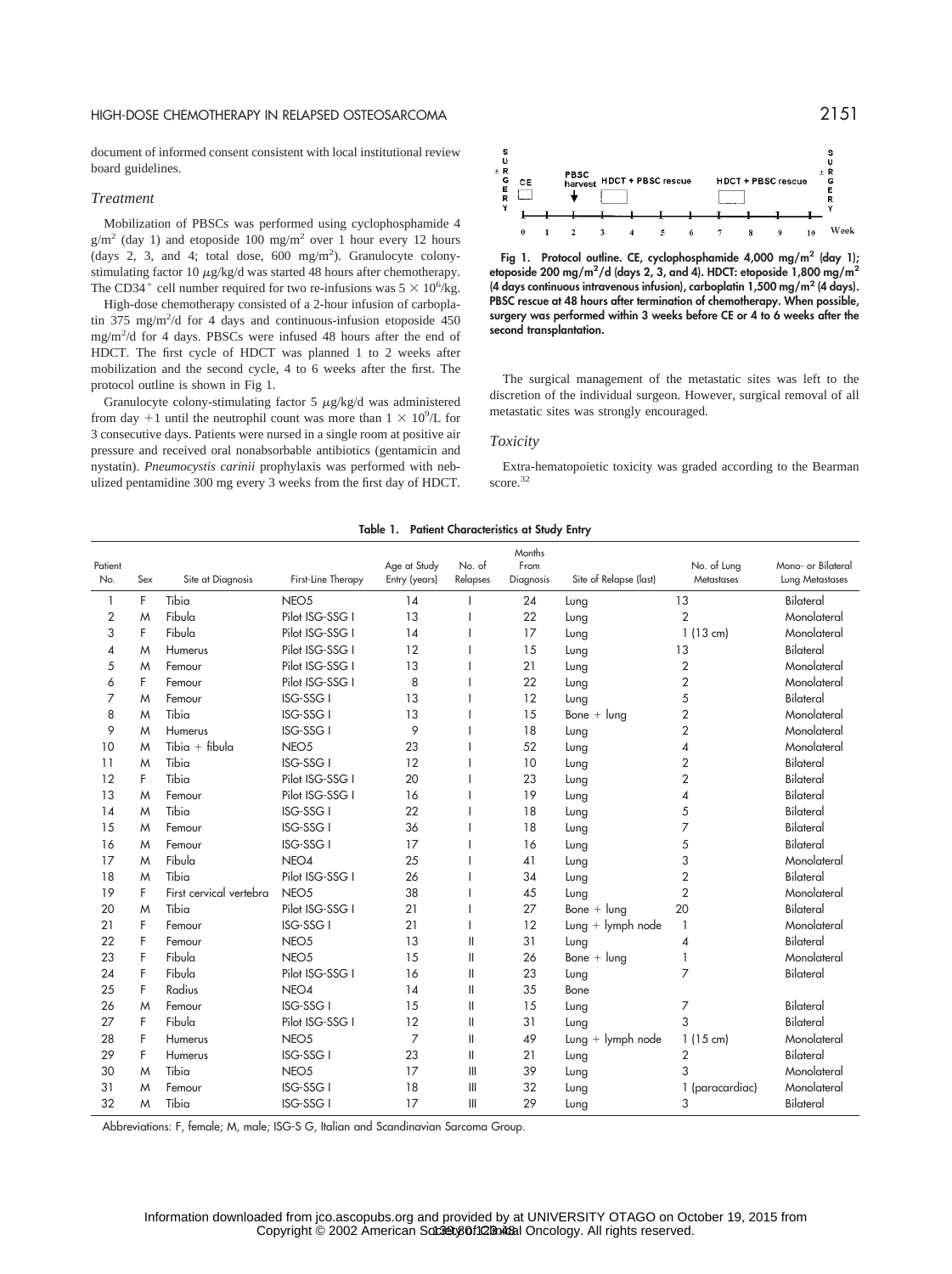# HIGH-DOSE CHEMOTHERAPY IN RELAPSED OSTEOSARCOMA 2151

document of informed consent consistent with local institutional review board guidelines.

#### *Treatment*

Mobilization of PBSCs was performed using cyclophosphamide 4  $g/m^2$  (day 1) and etoposide 100 mg/m<sup>2</sup> over 1 hour every 12 hours (days  $2$ ,  $3$ , and  $4$ ; total dose,  $600$  mg/m<sup>2</sup>). Granulocyte colonystimulating factor 10  $\mu$ g/kg/d was started 48 hours after chemotherapy. The CD34<sup>+</sup> cell number required for two re-infusions was  $5 \times 10^6$ /kg.

High-dose chemotherapy consisted of a 2-hour infusion of carboplatin 375 mg/m<sup>2</sup>/d for 4 days and continuous-infusion etoposide 450 mg/m2 /d for 4 days. PBSCs were infused 48 hours after the end of HDCT. The first cycle of HDCT was planned 1 to 2 weeks after mobilization and the second cycle, 4 to 6 weeks after the first. The protocol outline is shown in Fig 1.

Granulocyte colony-stimulating factor 5  $\mu$ g/kg/d was administered from day  $+1$  until the neutrophil count was more than  $1 \times 10^9$ /L for 3 consecutive days. Patients were nursed in a single room at positive air pressure and received oral nonabsorbable antibiotics (gentamicin and nystatin). *Pneumocystis carinii* prophylaxis was performed with nebulized pentamidine 300 mg every 3 weeks from the first day of HDCT.



**Fig 1. Protocol outline. CE, cyclophosphamide 4,000 mg/m<sup>2</sup> (day 1); etoposide 200 mg/m<sup>2</sup> /d (days 2, 3, and 4). HDCT: etoposide 1,800 mg/m<sup>2</sup> (4 days continuous intravenous infusion), carboplatin 1,500 mg/m<sup>2</sup> (4 days). PBSC rescue at 48 hours after termination of chemotherapy. When possible, surgery was performed within 3 weeks before CE or 4 to 6 weeks after the second transplantation.**

The surgical management of the metastatic sites was left to the discretion of the individual surgeon. However, surgical removal of all metastatic sites was strongly encouraged.

#### *Toxicity*

Extra-hematopoietic toxicity was graded according to the Bearman score.<sup>32</sup>

| Table 1. Patient Characteristics at Study Entry |  |  |  |  |  |  |  |  |
|-------------------------------------------------|--|--|--|--|--|--|--|--|
|-------------------------------------------------|--|--|--|--|--|--|--|--|

| Patient<br>No. | Sex | Site at Diagnosis       | First-Line Therapy | Age at Study<br>Entry (years) | No. of<br>Relapses | Months<br>From<br>Diagnosis | Site of Relapse (last) | No. of Lung<br>Metastases | Mono- or Bilateral<br>Lung Metastases |
|----------------|-----|-------------------------|--------------------|-------------------------------|--------------------|-----------------------------|------------------------|---------------------------|---------------------------------------|
| 1              | F   | Tibia                   | NEO <sub>5</sub>   | 14                            |                    | 24                          | Lung                   | 13                        | Bilateral                             |
| $\overline{2}$ | M   | Fibula                  | Pilot ISG-SSG I    | 13                            |                    | 22                          | Lung                   | $\overline{2}$            | Monolateral                           |
| 3              | F   | Fibula                  | Pilot ISG-SSG I    | 14                            |                    | 17                          | Lung                   | 1(13cm)                   | Monolateral                           |
| 4              | M   | <b>Humerus</b>          | Pilot ISG-SSG I    | 12                            |                    | 15                          | Lung                   | 13                        | Bilateral                             |
| 5              | M   | Femour                  | Pilot ISG-SSG I    | 13                            |                    | 21                          | Lung                   | $\overline{2}$            | Monolateral                           |
| 6              | F   | Femour                  | Pilot ISG-SSG I    | 8                             |                    | 22                          | Lung                   | $\overline{2}$            | Monolateral                           |
| 7              | M   | Femour                  | <b>ISG-SSG I</b>   | 13                            |                    | 12                          | Lung                   | 5                         | Bilateral                             |
| 8              | M   | Tibia                   | <b>ISG-SSG I</b>   | 13                            |                    | 15                          | Bone $+$ lung          | $\overline{2}$            | Monolateral                           |
| 9              | M   | <b>Humerus</b>          | <b>ISG-SSG I</b>   | 9                             |                    | 18                          | Lung                   | $\overline{2}$            | Monolateral                           |
| 10             | M   | Tibia + fibula          | NEO <sub>5</sub>   | 23                            |                    | 52                          | Lung                   | $\overline{4}$            | Monolateral                           |
| 11             | M   | Tibia                   | <b>ISG-SSG I</b>   | 12                            |                    | 10                          | Lung                   | $\overline{2}$            | Bilateral                             |
| 12             | F   | Tibia                   | Pilot ISG-SSG I    | 20                            |                    | 23                          | Lung                   | $\overline{2}$            | Bilateral                             |
| 13             | M   | Femour                  | Pilot ISG-SSG I    | 16                            |                    | 19                          | Lung                   | 4                         | Bilateral                             |
| 14             | M   | Tibia                   | <b>ISG-SSG I</b>   | 22                            |                    | 18                          | Lung                   | 5                         | Bilateral                             |
| 15             | M   | Femour                  | <b>ISG-SSG I</b>   | 36                            |                    | 18                          | Lung                   | 7                         | Bilateral                             |
| 16             | M   | Femour                  | <b>ISG-SSG I</b>   | 17                            |                    | 16                          | Lung                   | 5                         | Bilateral                             |
| 17             | M   | Fibula                  | NEO4               | 25                            |                    | 41                          | Lung                   | 3                         | Monolateral                           |
| 18             | M   | Tibia                   | Pilot ISG-SSG I    | 26                            |                    | 34                          | Lung                   | $\overline{2}$            | Bilateral                             |
| 19             | F   | First cervical vertebra | NEO <sub>5</sub>   | 38                            |                    | 45                          | Lung                   | $\overline{2}$            | Monolateral                           |
| 20             | M   | Tibia                   | Pilot ISG-SSG I    | 21                            |                    | 27                          | Bone $+$ lung          | 20                        | Bilateral                             |
| 21             | F   | Femour                  | <b>ISG-SSG I</b>   | 21                            |                    | 12                          | $Lung + lymph node$    | 1                         | Monolateral                           |
| 22             | F   | Femour                  | NEO <sub>5</sub>   | 13                            | Ш                  | 31                          | Lung                   | $\overline{4}$            | Bilateral                             |
| 23             | F   | Fibula                  | NEO <sub>5</sub>   | 15                            | Ш                  | 26                          | Bone $+$ lung          | $\mathbf{1}$              | Monolateral                           |
| 24             | F   | Fibula                  | Pilot ISG-SSG I    | 16                            | Ш                  | 23                          | Lung                   | 7                         | Bilateral                             |
| 25             | F   | Radius                  | NEO4               | 14                            | Ш                  | 35                          | Bone                   |                           |                                       |
| 26             | M   | Femour                  | <b>ISG-SSG I</b>   | 15                            | Ш                  | 15                          | Lung                   | 7                         | Bilateral                             |
| 27             | F   | Fibula                  | Pilot ISG-SSG I    | 12                            | II                 | 31                          | Lung                   | 3                         | Bilateral                             |
| 28             | F   | <b>Humerus</b>          | NEO <sub>5</sub>   | $\overline{7}$                | Ш                  | 49                          | Lung $+$ lymph node    | 1(15cm)                   | Monolateral                           |
| 29             | F   | Humerus                 | <b>ISG-SSG I</b>   | 23                            | Ш                  | 21                          | Lung                   | $\overline{2}$            | Bilateral                             |
| 30             | M   | Tibia                   | NEO <sub>5</sub>   | 17                            | Ш                  | 39                          | Lung                   | 3                         | Monolateral                           |
| 31             | M   | Femour                  | <b>ISG-SSG I</b>   | 18                            | Ш                  | 32                          | Lung                   | (paracardiac)<br>1        | Monolateral                           |
| 32             | M   | Tibia                   | <b>ISG-SSG I</b>   | 17                            | Ш                  | 29                          | Lung                   | 3                         | Bilateral                             |

Abbreviations: F, female; M, male; ISG-S G, Italian and Scandinavian Sarcoma Group.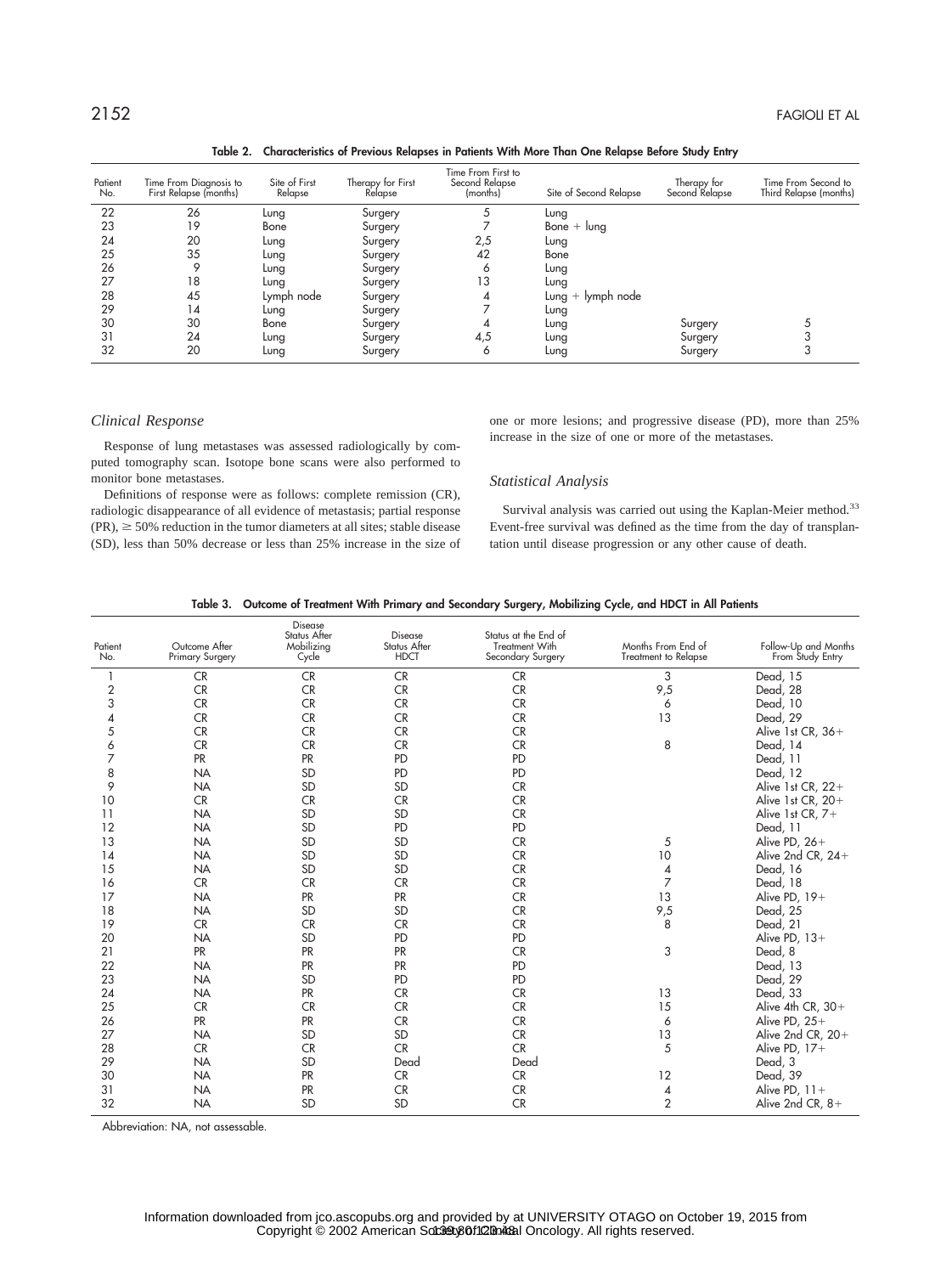|  | Table 2. Characteristics of Previous Relapses in Patients With More Than One Relapse Before Study Entry |
|--|---------------------------------------------------------------------------------------------------------|
|  |                                                                                                         |

| Patient<br>No. | Time From Diagnosis to<br>First Relapse (months) | Site of First<br>Relapse | Therapy for First<br>Relapse | Time From First to<br>Second Relapse<br>(months) | Site of Second Relapse | Therapy for<br>Second Relapse | Time From Second to<br>Third Relapse (months) |
|----------------|--------------------------------------------------|--------------------------|------------------------------|--------------------------------------------------|------------------------|-------------------------------|-----------------------------------------------|
| 22             | 26                                               | Lung                     | Surgery                      | 5                                                | Lung                   |                               |                                               |
| 23             | 19                                               | Bone                     | Surgery                      |                                                  | Bone $+$ lung          |                               |                                               |
| 24             | 20                                               | Lung                     | Surgery                      | 2,5                                              | Lung                   |                               |                                               |
| 25             | 35                                               | Lung                     | Surgery                      | 42                                               | Bone                   |                               |                                               |
| 26             |                                                  | Lung                     | Surgery                      | 6                                                | Lung                   |                               |                                               |
| 27             | 18                                               | Lung                     | Surgery                      | 13                                               | Lung                   |                               |                                               |
| 28             | 45                                               | Lymph node               | Surgery                      | 4                                                | Lung + lymph node      |                               |                                               |
| 29             | 14                                               | Lung                     | Surgery                      |                                                  | Lung                   |                               |                                               |
| 30             | 30                                               | Bone                     | Surgery                      | 4                                                | Lung                   | Surgery                       |                                               |
| 31             | 24                                               | Lung                     | Surgery                      | 4,5                                              | Lung                   | Surgery                       |                                               |
| 32             | 20                                               | Lung                     | Surgery                      | 6                                                | Lung                   | Surgery                       |                                               |

### *Clinical Response*

Response of lung metastases was assessed radiologically by computed tomography scan. Isotope bone scans were also performed to monitor bone metastases.

Definitions of response were as follows: complete remission (CR), radiologic disappearance of all evidence of metastasis; partial response  $(PR)$ ,  $\geq$  50% reduction in the tumor diameters at all sites; stable disease (SD), less than 50% decrease or less than 25% increase in the size of

one or more lesions; and progressive disease (PD), more than 25% increase in the size of one or more of the metastases.

#### *Statistical Analysis*

Survival analysis was carried out using the Kaplan-Meier method.<sup>33</sup> Event-free survival was defined as the time from the day of transplantation until disease progression or any other cause of death.

|  |  | Table 3.   Outcome of Treatment With Primary and Secondary Surgery, Mobilizing Cycle, and HDCT in All Patients |  |  |  |  |  |  |  |  |  |  |  |  |  |  |  |  |
|--|--|----------------------------------------------------------------------------------------------------------------|--|--|--|--|--|--|--|--|--|--|--|--|--|--|--|--|
|--|--|----------------------------------------------------------------------------------------------------------------|--|--|--|--|--|--|--|--|--|--|--|--|--|--|--|--|

| Patient<br>No.          | Outcome After<br><b>Primary Surgery</b> | Disease<br>Status After<br>Mobilizing<br>Cycle | Disease<br>Status After<br><b>HDCT</b> | Status at the End of<br>Treatment With<br>Secondary Surgery | Months From End of<br>Treatment to Relapse | Follow-Up and Months<br>From Study Entry |
|-------------------------|-----------------------------------------|------------------------------------------------|----------------------------------------|-------------------------------------------------------------|--------------------------------------------|------------------------------------------|
| 1                       | <b>CR</b>                               | <b>CR</b>                                      | CR                                     | <b>CR</b>                                                   | 3                                          | Dead, 15                                 |
| $\overline{\mathbf{c}}$ | <b>CR</b>                               | <b>CR</b>                                      | CR                                     | <b>CR</b>                                                   | 9,5                                        | Dead, 28                                 |
| 3                       | <b>CR</b>                               | <b>CR</b>                                      | <b>CR</b>                              | CR                                                          | 6                                          | Dead, 10                                 |
| 4                       | <b>CR</b>                               | <b>CR</b>                                      | <b>CR</b>                              | CR                                                          | 13                                         | Dead, 29                                 |
| 5                       | <b>CR</b>                               | <b>CR</b>                                      | <b>CR</b>                              | <b>CR</b>                                                   |                                            | Alive 1st CR, $36+$                      |
| 6                       | CR                                      | <b>CR</b>                                      | <b>CR</b>                              | <b>CR</b>                                                   | 8                                          | Dead, 14                                 |
| 7                       | <b>PR</b>                               | PR                                             | PD                                     | PD                                                          |                                            | Dead, 11                                 |
| 8                       | <b>NA</b>                               | SD                                             | PD                                     | PD                                                          |                                            | Dead, 12                                 |
| 9                       | <b>NA</b>                               | SD                                             | SD                                     | <b>CR</b>                                                   |                                            | Alive 1st CR, $22+$                      |
| 10                      | CR                                      | <b>CR</b>                                      | <b>CR</b>                              | CR                                                          |                                            | Alive 1st CR, $20+$                      |
| 11                      | <b>NA</b>                               | SD                                             | SD                                     | CR                                                          |                                            | Alive 1st CR, $7+$                       |
| 12                      | <b>NA</b>                               | SD                                             | PD                                     | PD                                                          |                                            | Dead, 11                                 |
| 13                      | <b>NA</b>                               | SD                                             | SD                                     | CR                                                          | 5                                          | Alive PD, $26+$                          |
| 14                      | <b>NA</b>                               | <b>SD</b>                                      | SD                                     | CR                                                          | 10                                         | Alive 2nd CR, 24+                        |
| 15                      | <b>NA</b>                               | SD                                             | SD                                     | CR                                                          | 4                                          | Dead, 16                                 |
| 16                      | <b>CR</b>                               | <b>CR</b>                                      | <b>CR</b>                              | CR                                                          | 7                                          | Dead, 18                                 |
| 17                      | <b>NA</b>                               | PR                                             | PR                                     | <b>CR</b>                                                   | 13                                         | Alive PD, $19+$                          |
| 18                      | <b>NA</b>                               | <b>SD</b>                                      | SD                                     | CR                                                          | 9,5                                        | Dead, 25                                 |
| 19                      | CR                                      | <b>CR</b>                                      | CR                                     | <b>CR</b>                                                   | 8                                          | Dead, 21                                 |
| 20                      | <b>NA</b>                               | SD                                             | PD                                     | PD                                                          |                                            | Alive PD, $13+$                          |
| 21                      | <b>PR</b>                               | <b>PR</b>                                      | PR                                     | <b>CR</b>                                                   | 3                                          | Dead, 8                                  |
| 22                      | <b>NA</b>                               | <b>PR</b>                                      | PR                                     | PD                                                          |                                            | Dead, 13                                 |
| 23                      | <b>NA</b>                               | <b>SD</b>                                      | PD                                     | PD                                                          |                                            | Dead, 29                                 |
| 24                      | <b>NA</b>                               | <b>PR</b>                                      | CR                                     | <b>CR</b>                                                   | 13                                         | Dead, 33                                 |
| 25                      | <b>CR</b>                               | <b>CR</b>                                      | CR                                     | CR                                                          | 15                                         | Alive 4th CR, $30+$                      |
| 26                      | <b>PR</b>                               | <b>PR</b>                                      | CR                                     | CR                                                          | 6                                          | Alive PD, $25+$                          |
| 27                      | <b>NA</b>                               | SD                                             | SD                                     | CR                                                          | 13                                         | Alive 2nd CR, $20+$                      |
| 28                      | CR                                      | <b>CR</b>                                      | CR                                     | CR                                                          | 5                                          | Alive PD, $17+$                          |
| 29                      | <b>NA</b>                               | SD                                             | Dead                                   | Dead                                                        |                                            | Dead, 3                                  |
| 30                      | <b>NA</b>                               | <b>PR</b>                                      | <b>CR</b>                              | <b>CR</b>                                                   | 12                                         | Dead, 39                                 |
| 31                      | <b>NA</b>                               | PR                                             | <b>CR</b>                              | CR                                                          | 4                                          | Alive PD, $11+$                          |
| 32                      | <b>NA</b>                               | <b>SD</b>                                      | SD                                     | <b>CR</b>                                                   | $\overline{2}$                             | Alive 2nd CR, $8+$                       |

Abbreviation: NA, not assessable.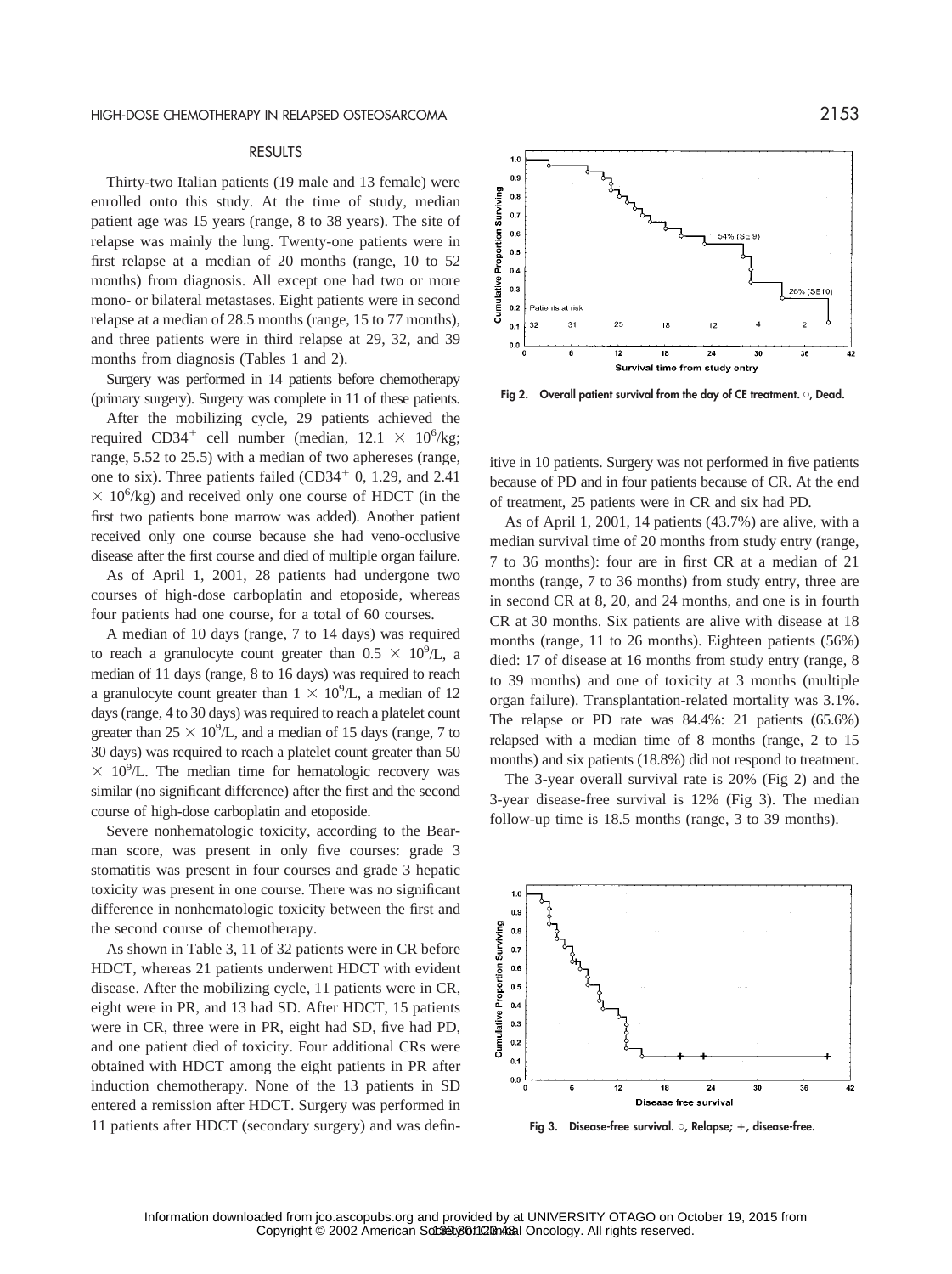#### RESULTS

Thirty-two Italian patients (19 male and 13 female) were enrolled onto this study. At the time of study, median patient age was 15 years (range, 8 to 38 years). The site of relapse was mainly the lung. Twenty-one patients were in first relapse at a median of 20 months (range, 10 to 52 months) from diagnosis. All except one had two or more mono- or bilateral metastases. Eight patients were in second relapse at a median of 28.5 months (range, 15 to 77 months), and three patients were in third relapse at 29, 32, and 39 months from diagnosis (Tables 1 and 2).

Surgery was performed in 14 patients before chemotherapy (primary surgery). Surgery was complete in 11 of these patients.

After the mobilizing cycle, 29 patients achieved the required CD34<sup>+</sup> cell number (median,  $12.1 \times 10^6$ /kg; range, 5.52 to 25.5) with a median of two aphereses (range, one to six). Three patients failed  $(CD34<sup>+</sup> 0, 1.29,$  and 2.41  $\times$  10<sup>6</sup>/kg) and received only one course of HDCT (in the first two patients bone marrow was added). Another patient received only one course because she had veno-occlusive disease after the first course and died of multiple organ failure.

As of April 1, 2001, 28 patients had undergone two courses of high-dose carboplatin and etoposide, whereas four patients had one course, for a total of 60 courses.

A median of 10 days (range, 7 to 14 days) was required to reach a granulocyte count greater than  $0.5 \times 10^9$ /L, a median of 11 days (range, 8 to 16 days) was required to reach a granulocyte count greater than  $1 \times 10^9$ /L, a median of 12 days (range, 4 to 30 days) was required to reach a platelet count greater than  $25 \times 10^9$ /L, and a median of 15 days (range, 7 to 30 days) was required to reach a platelet count greater than 50  $\times$  10<sup>9</sup>/L. The median time for hematologic recovery was similar (no significant difference) after the first and the second course of high-dose carboplatin and etoposide.

Severe nonhematologic toxicity, according to the Bearman score, was present in only five courses: grade 3 stomatitis was present in four courses and grade 3 hepatic toxicity was present in one course. There was no significant difference in nonhematologic toxicity between the first and the second course of chemotherapy.

As shown in Table 3, 11 of 32 patients were in CR before HDCT, whereas 21 patients underwent HDCT with evident disease. After the mobilizing cycle, 11 patients were in CR, eight were in PR, and 13 had SD. After HDCT, 15 patients were in CR, three were in PR, eight had SD, five had PD, and one patient died of toxicity. Four additional CRs were obtained with HDCT among the eight patients in PR after induction chemotherapy. None of the 13 patients in SD entered a remission after HDCT. Surgery was performed in 11 patients after HDCT (secondary surgery) and was defin-





**Fig 2. Overall patient survival from the day of CE treatment. , Dead.**

itive in 10 patients. Surgery was not performed in five patients because of PD and in four patients because of CR. At the end of treatment, 25 patients were in CR and six had PD.

As of April 1, 2001, 14 patients (43.7%) are alive, with a median survival time of 20 months from study entry (range, 7 to 36 months): four are in first CR at a median of 21 months (range, 7 to 36 months) from study entry, three are in second CR at 8, 20, and 24 months, and one is in fourth CR at 30 months. Six patients are alive with disease at 18 months (range, 11 to 26 months). Eighteen patients (56%) died: 17 of disease at 16 months from study entry (range, 8 to 39 months) and one of toxicity at 3 months (multiple organ failure). Transplantation-related mortality was 3.1%. The relapse or PD rate was 84.4%: 21 patients (65.6%) relapsed with a median time of 8 months (range, 2 to 15 months) and six patients (18.8%) did not respond to treatment.

The 3-year overall survival rate is 20% (Fig 2) and the 3-year disease-free survival is 12% (Fig 3). The median follow-up time is 18.5 months (range, 3 to 39 months).



**Fig 3. Disease-free survival. , Relapse; , disease-free.**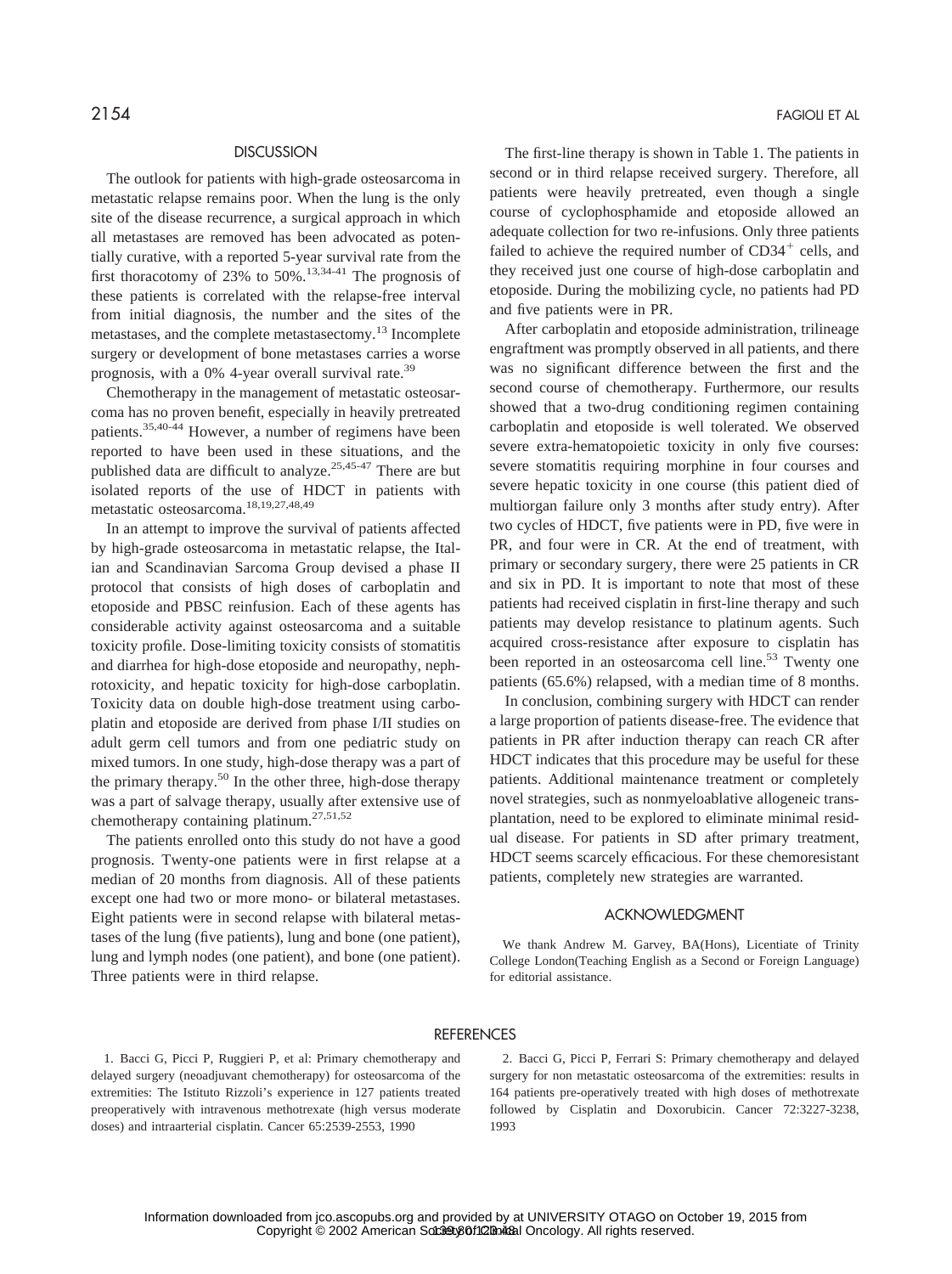#### **DISCUSSION**

The outlook for patients with high-grade osteosarcoma in metastatic relapse remains poor. When the lung is the only site of the disease recurrence, a surgical approach in which all metastases are removed has been advocated as potentially curative, with a reported 5-year survival rate from the first thoracotomy of 23% to 50%.<sup>13,34-41</sup> The prognosis of these patients is correlated with the relapse-free interval from initial diagnosis, the number and the sites of the metastases, and the complete metastasectomy.13 Incomplete surgery or development of bone metastases carries a worse prognosis, with a 0% 4-year overall survival rate.<sup>39</sup>

Chemotherapy in the management of metastatic osteosarcoma has no proven benefit, especially in heavily pretreated patients.35,40-44 However, a number of regimens have been reported to have been used in these situations, and the published data are difficult to analyze.25,45-47 There are but isolated reports of the use of HDCT in patients with metastatic osteosarcoma.18,19,27,48,49

In an attempt to improve the survival of patients affected by high-grade osteosarcoma in metastatic relapse, the Italian and Scandinavian Sarcoma Group devised a phase II protocol that consists of high doses of carboplatin and etoposide and PBSC reinfusion. Each of these agents has considerable activity against osteosarcoma and a suitable toxicity profile. Dose-limiting toxicity consists of stomatitis and diarrhea for high-dose etoposide and neuropathy, nephrotoxicity, and hepatic toxicity for high-dose carboplatin. Toxicity data on double high-dose treatment using carboplatin and etoposide are derived from phase I/II studies on adult germ cell tumors and from one pediatric study on mixed tumors. In one study, high-dose therapy was a part of the primary therapy. $50$  In the other three, high-dose therapy was a part of salvage therapy, usually after extensive use of chemotherapy containing platinum.<sup>27,51,52</sup>

The patients enrolled onto this study do not have a good prognosis. Twenty-one patients were in first relapse at a median of 20 months from diagnosis. All of these patients except one had two or more mono- or bilateral metastases. Eight patients were in second relapse with bilateral metastases of the lung (five patients), lung and bone (one patient), lung and lymph nodes (one patient), and bone (one patient). Three patients were in third relapse.

The first-line therapy is shown in Table 1. The patients in second or in third relapse received surgery. Therefore, all patients were heavily pretreated, even though a single course of cyclophosphamide and etoposide allowed an adequate collection for two re-infusions. Only three patients failed to achieve the required number of CD34<sup>+</sup> cells, and they received just one course of high-dose carboplatin and etoposide. During the mobilizing cycle, no patients had PD and five patients were in PR.

After carboplatin and etoposide administration, trilineage engraftment was promptly observed in all patients, and there was no significant difference between the first and the second course of chemotherapy. Furthermore, our results showed that a two-drug conditioning regimen containing carboplatin and etoposide is well tolerated. We observed severe extra-hematopoietic toxicity in only five courses: severe stomatitis requiring morphine in four courses and severe hepatic toxicity in one course (this patient died of multiorgan failure only 3 months after study entry). After two cycles of HDCT, five patients were in PD, five were in PR, and four were in CR. At the end of treatment, with primary or secondary surgery, there were 25 patients in CR and six in PD. It is important to note that most of these patients had received cisplatin in first-line therapy and such patients may develop resistance to platinum agents. Such acquired cross-resistance after exposure to cisplatin has been reported in an osteosarcoma cell line.<sup>53</sup> Twenty one patients (65.6%) relapsed, with a median time of 8 months.

In conclusion, combining surgery with HDCT can render a large proportion of patients disease-free. The evidence that patients in PR after induction therapy can reach CR after HDCT indicates that this procedure may be useful for these patients. Additional maintenance treatment or completely novel strategies, such as nonmyeloablative allogeneic transplantation, need to be explored to eliminate minimal residual disease. For patients in SD after primary treatment, HDCT seems scarcely efficacious. For these chemoresistant patients, completely new strategies are warranted.

#### ACKNOWLEDGMENT

We thank Andrew M. Garvey, BA(Hons), Licentiate of Trinity College London(Teaching English as a Second or Foreign Language) for editorial assistance.

#### REFERENCES

1. Bacci G, Picci P, Ruggieri P, et al: Primary chemotherapy and delayed surgery (neoadjuvant chemotherapy) for osteosarcoma of the extremities: The Istituto Rizzoli's experience in 127 patients treated preoperatively with intravenous methotrexate (high versus moderate doses) and intraarterial cisplatin. Cancer 65:2539-2553, 1990

2. Bacci G, Picci P, Ferrari S: Primary chemotherapy and delayed surgery for non metastatic osteosarcoma of the extremities: results in 164 patients pre-operatively treated with high doses of methotrexate followed by Cisplatin and Doxorubicin. Cancer 72:3227-3238, 1993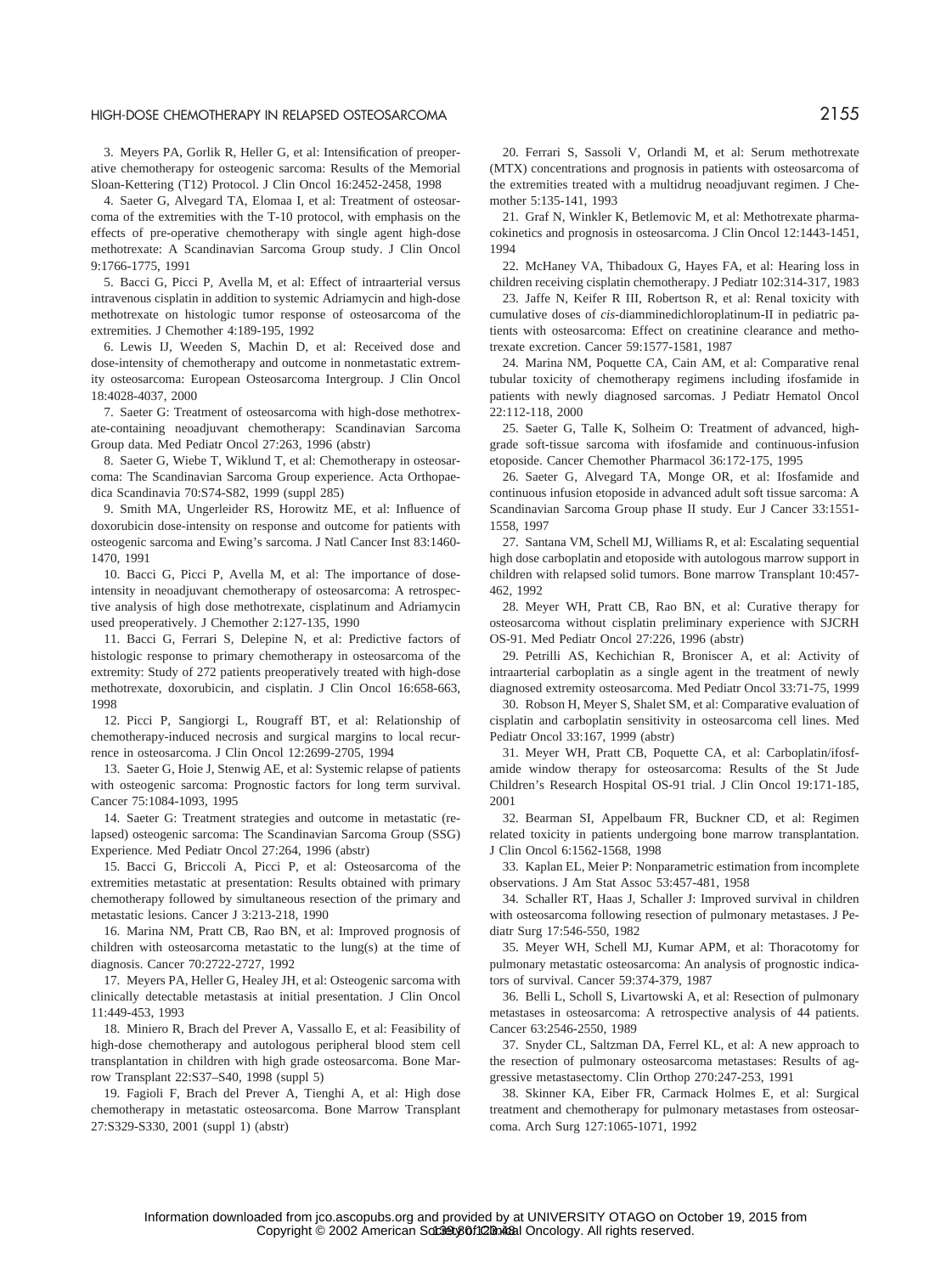# HIGH-DOSE CHEMOTHERAPY IN RELAPSED OSTEOSARCOMA 2155

3. Meyers PA, Gorlik R, Heller G, et al: Intensification of preoperative chemotherapy for osteogenic sarcoma: Results of the Memorial Sloan-Kettering (T12) Protocol. J Clin Oncol 16:2452-2458, 1998

4. Saeter G, Alvegard TA, Elomaa I, et al: Treatment of osteosarcoma of the extremities with the T-10 protocol, with emphasis on the effects of pre-operative chemotherapy with single agent high-dose methotrexate: A Scandinavian Sarcoma Group study. J Clin Oncol 9:1766-1775, 1991

5. Bacci G, Picci P, Avella M, et al: Effect of intraarterial versus intravenous cisplatin in addition to systemic Adriamycin and high-dose methotrexate on histologic tumor response of osteosarcoma of the extremities. J Chemother 4:189-195, 1992

6. Lewis IJ, Weeden S, Machin D, et al: Received dose and dose-intensity of chemotherapy and outcome in nonmetastatic extremity osteosarcoma: European Osteosarcoma Intergroup. J Clin Oncol 18:4028-4037, 2000

7. Saeter G: Treatment of osteosarcoma with high-dose methotrexate-containing neoadjuvant chemotherapy: Scandinavian Sarcoma Group data. Med Pediatr Oncol 27:263, 1996 (abstr)

8. Saeter G, Wiebe T, Wiklund T, et al: Chemotherapy in osteosarcoma: The Scandinavian Sarcoma Group experience. Acta Orthopaedica Scandinavia 70:S74-S82, 1999 (suppl 285)

9. Smith MA, Ungerleider RS, Horowitz ME, et al: Influence of doxorubicin dose-intensity on response and outcome for patients with osteogenic sarcoma and Ewing's sarcoma. J Natl Cancer Inst 83:1460- 1470, 1991

10. Bacci G, Picci P, Avella M, et al: The importance of doseintensity in neoadjuvant chemotherapy of osteosarcoma: A retrospective analysis of high dose methotrexate, cisplatinum and Adriamycin used preoperatively. J Chemother 2:127-135, 1990

11. Bacci G, Ferrari S, Delepine N, et al: Predictive factors of histologic response to primary chemotherapy in osteosarcoma of the extremity: Study of 272 patients preoperatively treated with high-dose methotrexate, doxorubicin, and cisplatin. J Clin Oncol 16:658-663, 1998

12. Picci P, Sangiorgi L, Rougraff BT, et al: Relationship of chemotherapy-induced necrosis and surgical margins to local recurrence in osteosarcoma. J Clin Oncol 12:2699-2705, 1994

13. Saeter G, Hoie J, Stenwig AE, et al: Systemic relapse of patients with osteogenic sarcoma: Prognostic factors for long term survival. Cancer 75:1084-1093, 1995

14. Saeter G: Treatment strategies and outcome in metastatic (relapsed) osteogenic sarcoma: The Scandinavian Sarcoma Group (SSG) Experience. Med Pediatr Oncol 27:264, 1996 (abstr)

15. Bacci G, Briccoli A, Picci P, et al: Osteosarcoma of the extremities metastatic at presentation: Results obtained with primary chemotherapy followed by simultaneous resection of the primary and metastatic lesions. Cancer J 3:213-218, 1990

16. Marina NM, Pratt CB, Rao BN, et al: Improved prognosis of children with osteosarcoma metastatic to the lung(s) at the time of diagnosis. Cancer 70:2722-2727, 1992

17. Meyers PA, Heller G, Healey JH, et al: Osteogenic sarcoma with clinically detectable metastasis at initial presentation. J Clin Oncol 11:449-453, 1993

18. Miniero R, Brach del Prever A, Vassallo E, et al: Feasibility of high-dose chemotherapy and autologous peripheral blood stem cell transplantation in children with high grade osteosarcoma. Bone Marrow Transplant 22:S37–S40, 1998 (suppl 5)

19. Fagioli F, Brach del Prever A, Tienghi A, et al: High dose chemotherapy in metastatic osteosarcoma. Bone Marrow Transplant 27:S329-S330, 2001 (suppl 1) (abstr)

20. Ferrari S, Sassoli V, Orlandi M, et al: Serum methotrexate (MTX) concentrations and prognosis in patients with osteosarcoma of the extremities treated with a multidrug neoadjuvant regimen. J Chemother 5:135-141, 1993

21. Graf N, Winkler K, Betlemovic M, et al: Methotrexate pharmacokinetics and prognosis in osteosarcoma. J Clin Oncol 12:1443-1451, 1994

22. McHaney VA, Thibadoux G, Hayes FA, et al: Hearing loss in children receiving cisplatin chemotherapy. J Pediatr 102:314-317, 1983

23. Jaffe N, Keifer R III, Robertson R, et al: Renal toxicity with cumulative doses of *cis*-diamminedichloroplatinum-II in pediatric patients with osteosarcoma: Effect on creatinine clearance and methotrexate excretion. Cancer 59:1577-1581, 1987

24. Marina NM, Poquette CA, Cain AM, et al: Comparative renal tubular toxicity of chemotherapy regimens including ifosfamide in patients with newly diagnosed sarcomas. J Pediatr Hematol Oncol 22:112-118, 2000

25. Saeter G, Talle K, Solheim O: Treatment of advanced, highgrade soft-tissue sarcoma with ifosfamide and continuous-infusion etoposide. Cancer Chemother Pharmacol 36:172-175, 1995

26. Saeter G, Alvegard TA, Monge OR, et al: Ifosfamide and continuous infusion etoposide in advanced adult soft tissue sarcoma: A Scandinavian Sarcoma Group phase II study. Eur J Cancer 33:1551- 1558, 1997

27. Santana VM, Schell MJ, Williams R, et al: Escalating sequential high dose carboplatin and etoposide with autologous marrow support in children with relapsed solid tumors. Bone marrow Transplant 10:457- 462, 1992

28. Meyer WH, Pratt CB, Rao BN, et al: Curative therapy for osteosarcoma without cisplatin preliminary experience with SJCRH OS-91. Med Pediatr Oncol 27:226, 1996 (abstr)

29. Petrilli AS, Kechichian R, Broniscer A, et al: Activity of intraarterial carboplatin as a single agent in the treatment of newly diagnosed extremity osteosarcoma. Med Pediatr Oncol 33:71-75, 1999

30. Robson H, Meyer S, Shalet SM, et al: Comparative evaluation of cisplatin and carboplatin sensitivity in osteosarcoma cell lines. Med Pediatr Oncol 33:167, 1999 (abstr)

31. Meyer WH, Pratt CB, Poquette CA, et al: Carboplatin/ifosfamide window therapy for osteosarcoma: Results of the St Jude Children's Research Hospital OS-91 trial. J Clin Oncol 19:171-185, 2001

32. Bearman SI, Appelbaum FR, Buckner CD, et al: Regimen related toxicity in patients undergoing bone marrow transplantation. J Clin Oncol 6:1562-1568, 1998

33. Kaplan EL, Meier P: Nonparametric estimation from incomplete observations. J Am Stat Assoc 53:457-481, 1958

34. Schaller RT, Haas J, Schaller J: Improved survival in children with osteosarcoma following resection of pulmonary metastases. J Pediatr Surg 17:546-550, 1982

35. Meyer WH, Schell MJ, Kumar APM, et al: Thoracotomy for pulmonary metastatic osteosarcoma: An analysis of prognostic indicators of survival. Cancer 59:374-379, 1987

36. Belli L, Scholl S, Livartowski A, et al: Resection of pulmonary metastases in osteosarcoma: A retrospective analysis of 44 patients. Cancer 63:2546-2550, 1989

37. Snyder CL, Saltzman DA, Ferrel KL, et al: A new approach to the resection of pulmonary osteosarcoma metastases: Results of aggressive metastasectomy. Clin Orthop 270:247-253, 1991

38. Skinner KA, Eiber FR, Carmack Holmes E, et al: Surgical treatment and chemotherapy for pulmonary metastases from osteosarcoma. Arch Surg 127:1065-1071, 1992